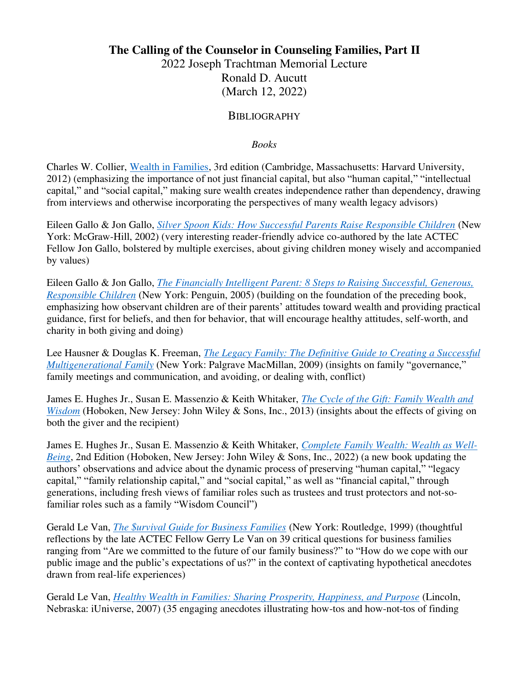## **The Calling of the Counselor in Counseling Families, Part II**

2022 Joseph Trachtman Memorial Lecture Ronald D. Aucutt (March 12, 2022)

## **BIBLIOGRAPHY**

*Books*

Charles W. Collier, [Wealth in Families,](https://www.charlescollier.info/book) 3rd edition (Cambridge, Massachusetts: Harvard University, 2012) (emphasizing the importance of not just financial capital, but also "human capital," "intellectual capital," and "social capital," making sure wealth creates independence rather than dependency, drawing from interviews and otherwise incorporating the perspectives of many wealth legacy advisors)

Eileen Gallo & Jon Gallo, *[Silver Spoon Kids: How Successful Parents Raise Responsible Children](https://www.amazon.com/Silver-Spoon-Kids-Successful-Responsible/dp/0809294370)* (New York: McGraw-Hill, 2002) (very interesting reader-friendly advice co-authored by the late ACTEC Fellow Jon Gallo, bolstered by multiple exercises, about giving children money wisely and accompanied by values)

Eileen Gallo & Jon Gallo, *[The Financially Intelligent Parent: 8 Steps to Raising Successful, Generous,](https://www.amazon.com/Financially-Intelligent-Parent-Successful-Responsible/dp/0451215281)  [Responsible Children](https://www.amazon.com/Financially-Intelligent-Parent-Successful-Responsible/dp/0451215281)* (New York: Penguin, 2005) (building on the foundation of the preceding book, emphasizing how observant children are of their parents' attitudes toward wealth and providing practical guidance, first for beliefs, and then for behavior, that will encourage healthy attitudes, self-worth, and charity in both giving and doing)

Lee Hausner & Douglas K. Freeman, *[The Legacy Family: The Definitive Guide to Creating a Successful](https://www.amazon.com/Legacy-Family-Definitive-Successful-Multigenerational/dp/0230618928)  [Multigenerational Family](https://www.amazon.com/Legacy-Family-Definitive-Successful-Multigenerational/dp/0230618928)* (New York: Palgrave MacMillan, 2009) (insights on family "governance," family meetings and communication, and avoiding, or dealing with, conflict)

James E. Hughes Jr., Susan E. Massenzio & Keith Whitaker, *[The Cycle of the Gift: Family Wealth and](https://www.amazon.com/Cycle-Gift-Family-Wealth-Wisdom/dp/1118487591)  [Wisdom](https://www.amazon.com/Cycle-Gift-Family-Wealth-Wisdom/dp/1118487591)* (Hoboken, New Jersey: John Wiley & Sons, Inc., 2013) (insights about the effects of giving on both the giver and the recipient)

James E. Hughes Jr., Susan E. Massenzio & Keith Whitaker, *[Complete Family Wealth: Wealth as Well-](https://www.amazon.com/Complete-Family-Wealth-Well-Being-Bloomberg/dp/1119820030)[Being](https://www.amazon.com/Complete-Family-Wealth-Well-Being-Bloomberg/dp/1119820030)*, 2nd Edition (Hoboken, New Jersey: John Wiley & Sons, Inc., 2022) (a new book updating the authors' observations and advice about the dynamic process of preserving "human capital," "legacy capital," "family relationship capital," and "social capital," as well as "financial capital," through generations, including fresh views of familiar roles such as trustees and trust protectors and not-sofamiliar roles such as a family "Wisdom Council")

Gerald Le Van, *[The \\$urvival Guide for Business Families](https://www.amazon.com/Survival-Guide-Business-Families-Questions-ebook/dp/B00LPCCMDK)* (New York: Routledge, 1999) (thoughtful reflections by the late ACTEC Fellow Gerry Le Van on 39 critical questions for business families ranging from "Are we committed to the future of our family business?" to "How do we cope with our public image and the public's expectations of us?" in the context of captivating hypothetical anecdotes drawn from real-life experiences)

Gerald Le Van, *[Healthy Wealth in Families: Sharing Prosperity, Happiness, and Purpose](https://www.amazon.com/Healthy-Wealth-Families-Prosperity-Happiness/dp/0595443176)* (Lincoln, Nebraska: iUniverse, 2007) (35 engaging anecdotes illustrating how-tos and how-not-tos of finding